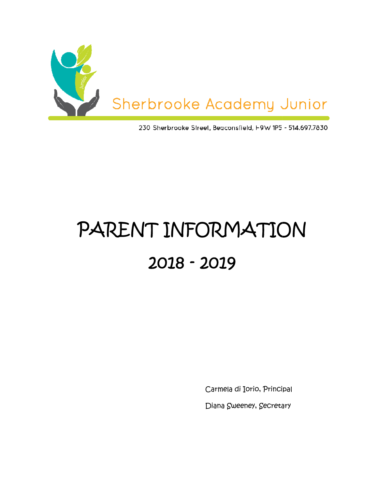

230 Sherbrooke Street, Beaconsfield, I-9W 1P5 - 514.697.7830

# PARENT INFORMATION 2018 - 2019

Carmela di Iorio, Principal

Diana Sweeney, Secretary Diana Sweeney,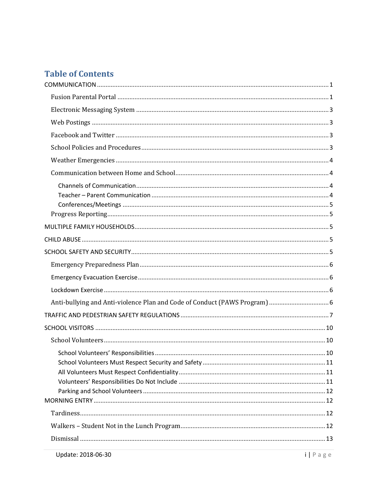# **Table of Contents**

| Anti-bullying and Anti-violence Plan and Code of Conduct (PAWS Program)  6 |  |
|----------------------------------------------------------------------------|--|
|                                                                            |  |
|                                                                            |  |
|                                                                            |  |
|                                                                            |  |
|                                                                            |  |
|                                                                            |  |
|                                                                            |  |
|                                                                            |  |
|                                                                            |  |
|                                                                            |  |
|                                                                            |  |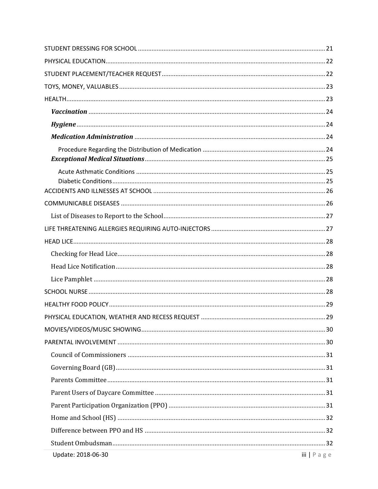| Update: 2018-06-30 | $iii \mid P \land g \in$ |
|--------------------|--------------------------|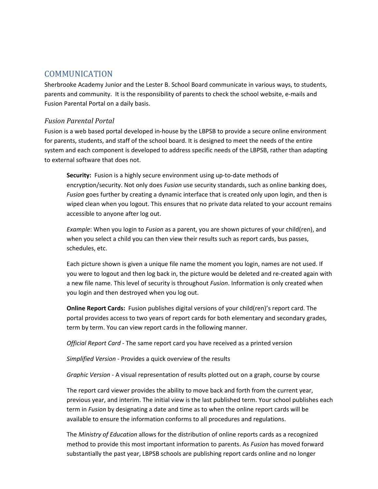## COMMUNICATION

Sherbrooke Academy Junior and the Lester B. School Board communicate in various ways, to students, parents and community. It is the responsibility of parents to check the school website, e-mails and Fusion Parental Portal on a daily basis.

#### *Fusion Parental Portal*

Fusion is a web based portal developed in-house by the LBPSB to provide a secure online environment for parents, students, and staff of the school board. It is designed to meet the needs of the entire system and each component is developed to address specific needs of the LBPSB, rather than adapting to external software that does not.

**Security:** Fusion is a highly secure environment using up-to-date methods of encryption/security. Not only does *Fusion* use security standards, such as online banking does, *Fusion* goes further by creating a dynamic interface that is created only upon login, and then is wiped clean when you logout. This ensures that no private data related to your account remains accessible to anyone after log out.

*Example*: When you login to *Fusion* as a parent, you are shown pictures of your child(ren), and when you select a child you can then view their results such as report cards, bus passes, schedules, etc.

Each picture shown is given a unique file name the moment you login, names are not used. If you were to logout and then log back in, the picture would be deleted and re-created again with a new file name. This level of security is throughout *Fusion*. Information is only created when you login and then destroyed when you log out.

**Online Report Cards:** Fusion publishes digital versions of your child(ren)'s report card. The portal provides access to two years of report cards for both elementary and secondary grades, term by term. You can view report cards in the following manner.

*Official Report Card* - The same report card you have received as a printed version

*Simplified Version* - Provides a quick overview of the results

*Graphic Version* - A visual representation of results plotted out on a graph, course by course

The report card viewer provides the ability to move back and forth from the current year, previous year, and interim. The initial view is the last published term. Your school publishes each term in *Fusion* by designating a date and time as to when the online report cards will be available to ensure the information conforms to all procedures and regulations.

The *Ministry of Education* allows for the distribution of online reports cards as a recognized method to provide this most important information to parents. As *Fusion* has moved forward substantially the past year, LBPSB schools are publishing report cards online and no longer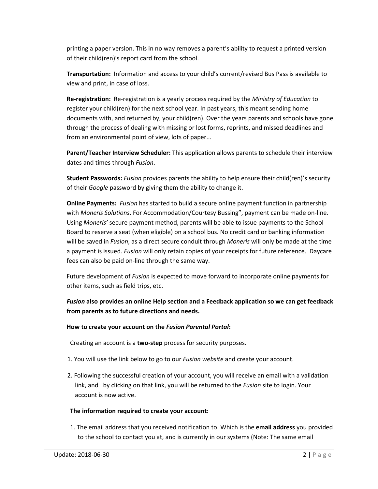printing a paper version. This in no way removes a parent's ability to request a printed version of their child(ren)'s report card from the school.

**Transportation:** Information and access to your child's current/revised Bus Pass is available to view and print, in case of loss.

**Re-registration:** Re-registration is a yearly process required by the *Ministry of Education* to register your child(ren) for the next school year. In past years, this meant sending home documents with, and returned by, your child(ren). Over the years parents and schools have gone through the process of dealing with missing or lost forms, reprints, and missed deadlines and from an environmental point of view, lots of paper...

**Parent/Teacher Interview Scheduler:** This application allows parents to schedule their interview dates and times through *Fusion*.

**Student Passwords:** *Fusion* provides parents the ability to help ensure their child(ren)'s security of their *Google* password by giving them the ability to change it.

**Online Payments:** *Fusion* has started to build a secure online payment function in partnership with *Moneris Solutions*. For Accommodation/Courtesy Bussing", payment can be made on-line. Using *Moneris'* secure payment method, parents will be able to issue payments to the School Board to reserve a seat (when eligible) on a school bus. No credit card or banking information will be saved in *Fusion*, as a direct secure conduit through *Moneris* will only be made at the time a payment is issued. *Fusion* will only retain copies of your receipts for future reference. Daycare fees can also be paid on-line through the same way.

Future development of *Fusion* is expected to move forward to incorporate online payments for other items, such as field trips, etc.

*Fusion* **also provides an online Help section and a Feedback application so we can get feedback from parents as to future directions and needs.** 

#### **How to create your account on the** *Fusion Parental Portal***:**

Creating an account is a **two-step** process for security purposes.

- 1. You will use the link below to go to our *Fusion website* and create your account.
- 2. Following the successful creation of your account, you will receive an email with a validation link, and by clicking on that link, you will be returned to the *Fusion* site to login. Your account is now active.

#### **The information required to create your account:**

1. The email address that you received notification to. Which is the **email address** you provided to the school to contact you at, and is currently in our systems (Note: The same email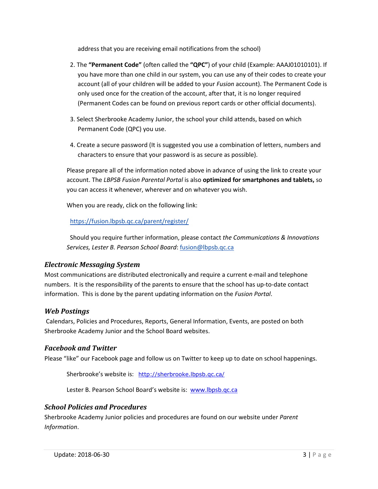address that you are receiving email notifications from the school)

- 2. The **"Permanent Code"** (often called the **"QPC"**) of your child (Example: AAAJ01010101). If you have more than one child in our system, you can use any of their codes to create your account (all of your children will be added to your *Fusion* account). The Permanent Code is only used once for the creation of the account, after that, it is no longer required (Permanent Codes can be found on previous report cards or other official documents).
- 3. Select Sherbrooke Academy Junior, the school your child attends, based on which Permanent Code (QPC) you use.
- 4. Create a secure password (It is suggested you use a combination of letters, numbers and characters to ensure that your password is as secure as possible).

Please prepare all of the information noted above in advance of using the link to create your account. The *LBPSB Fusion Parental Portal* is also **optimized for smartphones and tablets,** so you can access it whenever, wherever and on whatever you wish.

When you are ready, click on the following link:

https://fusion.lbpsb.qc.ca/parent/register/

Should you require further information, please contact *the Communications & Innovations Services, Lester B. Pearson School Board*: fusion@lbpsb.qc.ca

#### *Electronic Messaging System*

Most communications are distributed electronically and require a current e-mail and telephone numbers. It is the responsibility of the parents to ensure that the school has up-to-date contact information. This is done by the parent updating information on the *Fusion Portal*.

#### *Web Postings*

Calendars, Policies and Procedures, Reports, General Information, Events, are posted on both Sherbrooke Academy Junior and the School Board websites.

#### *Facebook and Twitter*

Please "like" our Facebook page and follow us on Twitter to keep up to date on school happenings.

Sherbrooke's website is: http://sherbrooke.lbpsb.gc.ca/

Lester B. Pearson School Board's website is: www.lbpsb.qc.ca

#### *School Policies and Procedures*

Sherbrooke Academy Junior policies and procedures are found on our website under *Parent Information*.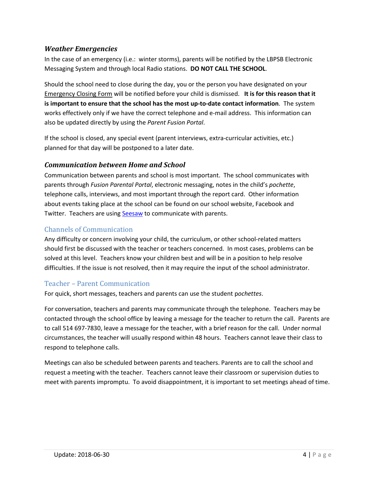#### *Weather Emergencies*

In the case of an emergency (i.e.: winter storms), parents will be notified by the LBPSB Electronic Messaging System and through local Radio stations. **DO NOT CALL THE SCHOOL**.

Should the school need to close during the day, you or the person you have designated on your Emergency Closing Form will be notified before your child is dismissed. **It is for this reason that it is important to ensure that the school has the most up-to-date contact information**. The system works effectively only if we have the correct telephone and e-mail address. This information can also be updated directly by using the *Parent Fusion Portal*.

If the school is closed, any special event (parent interviews, extra-curricular activities, etc.) planned for that day will be postponed to a later date.

#### *Communication between Home and School*

Communication between parents and school is most important. The school communicates with parents through *Fusion Parental Portal*, electronic messaging, notes in the child's *pochette*, telephone calls, interviews, and most important through the report card. Other information about events taking place at the school can be found on our school website, Facebook and Twitter. Teachers are using **Seesaw** to communicate with parents.

#### Channels of Communication

Any difficulty or concern involving your child, the curriculum, or other school-related matters should first be discussed with the teacher or teachers concerned. In most cases, problems can be solved at this level. Teachers know your children best and will be in a position to help resolve difficulties. If the issue is not resolved, then it may require the input of the school administrator.

#### Teacher – Parent Communication

For quick, short messages, teachers and parents can use the student p*ochettes*.

For conversation, teachers and parents may communicate through the telephone. Teachers may be contacted through the school office by leaving a message for the teacher to return the call. Parents are to call 514 697-7830, leave a message for the teacher, with a brief reason for the call. Under normal circumstances, the teacher will usually respond within 48 hours. Teachers cannot leave their class to respond to telephone calls.

Meetings can also be scheduled between parents and teachers. Parents are to call the school and request a meeting with the teacher. Teachers cannot leave their classroom or supervision duties to meet with parents impromptu. To avoid disappointment, it is important to set meetings ahead of time.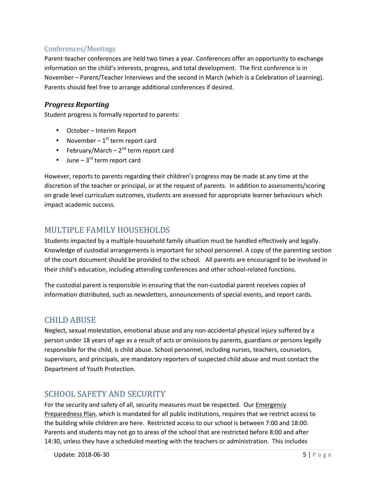## Conferences/Meetings

Parent-teacher conferences are held two times a year. Conferences offer an opportunity to exchange information on the child's interests, progress, and total development. The first conference is in November – Parent/Teacher Interviews and the second in March (which is a Celebration of Learning). Parents should feel free to arrange additional conferences if desired.

## *Progress Reporting*

Student progress is formally reported to parents:

- October Interim Report
- November  $1<sup>st</sup>$  term report card
- February/March  $2^{nd}$  term report card
- June  $-3^{rd}$  term report card

However, reports to parents regarding their children's progress may be made at any time at the discretion of the teacher or principal, or at the request of parents. In addition to assessments/scoring on grade level curriculum outcomes, students are assessed for appropriate learner behaviours which impact academic success.

# MULTIPLE FAMILY HOUSEHOLDS

Students impacted by a multiple-household family situation must be handled effectively and legally. Knowledge of custodial arrangements is important for school personnel. A copy of the parenting section of the court document should be provided to the school. All parents are encouraged to be involved in their child's education, including attending conferences and other school-related functions.

The custodial parent is responsible in ensuring that the non-custodial parent receives copies of information distributed, such as newsletters, announcements of special events, and report cards.

# CHILD ABUSE

Neglect, sexual molestation, emotional abuse and any non-accidental physical injury suffered by a person under 18 years of age as a result of acts or omissions by parents, guardians or persons legally responsible for the child, is child abuse. School personnel, including nurses, teachers, counselors, supervisors, and principals, are mandatory reporters of suspected child abuse and must contact the Department of Youth Protection.

# SCHOOL SAFETY AND SECURITY

For the security and safety of all, security measures must be respected. Our Emergency Preparedness Plan, which is mandated for all public institutions, requires that we restrict access to the building while children are here. Restricted access to our school is between 7:00 and 18:00. Parents and students may not go to areas of the school that are restricted before 8:00 and after 14:30, unless they have a scheduled meeting with the teachers or administration. This includes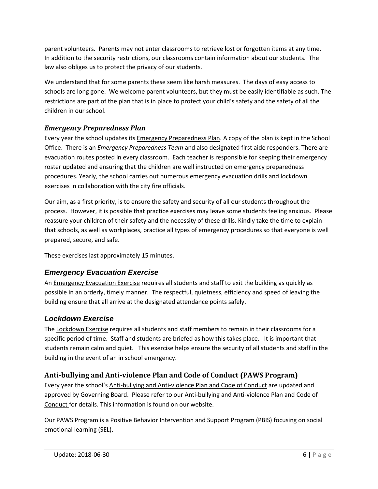parent volunteers. Parents may not enter classrooms to retrieve lost or forgotten items at any time. In addition to the security restrictions, our classrooms contain information about our students. The law also obliges us to protect the privacy of our students.

We understand that for some parents these seem like harsh measures. The days of easy access to schools are long gone. We welcome parent volunteers, but they must be easily identifiable as such. The restrictions are part of the plan that is in place to protect your child's safety and the safety of all the children in our school.

# *Emergency Preparedness Plan*

Every year the school updates its Emergency Preparedness Plan. A copy of the plan is kept in the School Office. There is an *Emergency Preparedness Team* and also designated first aide responders. There are evacuation routes posted in every classroom. Each teacher is responsible for keeping their emergency roster updated and ensuring that the children are well instructed on emergency preparedness procedures. Yearly, the school carries out numerous emergency evacuation drills and lockdown exercises in collaboration with the city fire officials.

Our aim, as a first priority, is to ensure the safety and security of all our students throughout the process. However, it is possible that practice exercises may leave some students feeling anxious. Please reassure your children of their safety and the necessity of these drills. Kindly take the time to explain that schools, as well as workplaces, practice all types of emergency procedures so that everyone is well prepared, secure, and safe.

These exercises last approximately 15 minutes.

## **Emergency Evacuation Exercise**

An Emergency Evacuation Exercise requires all students and staff to exit the building as quickly as possible in an orderly, timely manner. The respectful, quietness, efficiency and speed of leaving the building ensure that all arrive at the designated attendance points safely.

## **Lockdown Exercise**

The Lockdown Exercise requires all students and staff members to remain in their classrooms for a specific period of time. Staff and students are briefed as how this takes place. It is important that students remain calm and quiet. This exercise helps ensure the security of all students and staff in the building in the event of an in school emergency.

## **Anti-bullying and Anti-violence Plan and Code of Conduct (PAWS Program)**

Every year the school's Anti-bullying and Anti-violence Plan and Code of Conduct are updated and approved by Governing Board. Please refer to our Anti-bullying and Anti-violence Plan and Code of Conduct for details. This information is found on our website.

Our PAWS Program is a Positive Behavior Intervention and Support Program (PBIS) focusing on social emotional learning (SEL).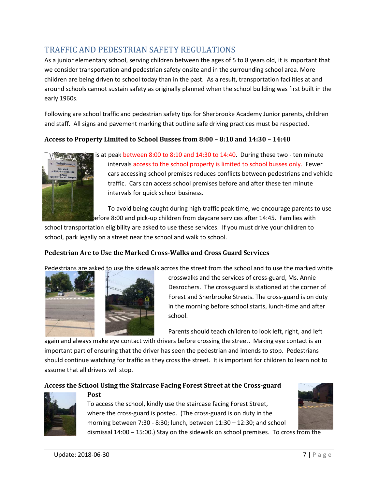# TRAFFIC AND PEDESTRIAN SAFETY REGULATIONS

As a junior elementary school, serving children between the ages of 5 to 8 years old, it is important that we consider transportation and pedestrian safety onsite and in the surrounding school area. More children are being driven to school today than in the past. As a result, transportation facilities at and around schools cannot sustain safety as originally planned when the school building was first built in the early 1960s.

Following are school traffic and pedestrian safety tips for Sherbrooke Academy Junior parents, children and staff. All signs and pavement marking that outline safe driving practices must be respected.

#### **Access to Property Limited to School Busses from 8:00 – 8:10 and 14:30 – 14:40**



is at peak between 8:00 to 8:10 and 14:30 to 14:40. During these two - ten minute intervals access to the school property is limited to school busses only. Fewer cars accessing school premises reduces conflicts between pedestrians and vehicle traffic. Cars can access school premises before and after these ten minute intervals for quick school business.

To avoid being caught during high traffic peak time, we encourage parents to use lefore 8:00 and pick-up children from daycare services after 14:45. Families with

school transportation eligibility are asked to use these services. If you must drive your children to school, park legally on a street near the school and walk to school.

#### **Pedestrian Are to Use the Marked Cross-Walks and Cross Guard Services**

Pedestrians are asked to use the sidewalk across the street from the school and to use the marked white





crosswalks and the services of cross-guard, Ms. Annie Desrochers. The cross-guard is stationed at the corner of Forest and Sherbrooke Streets. The cross-guard is on duty in the morning before school starts, lunch-time and after school.

Parents should teach children to look left, right, and left

again and always make eye contact with drivers before crossing the street. Making eye contact is an important part of ensuring that the driver has seen the pedestrian and intends to stop. Pedestrians should continue watching for traffic as they cross the street. It is important for children to learn not to assume that all drivers will stop.

#### **Access the School Using the Staircase Facing Forest Street at the Cross-guard**



To access the school, kindly use the staircase facing Forest Street, where the cross-guard is posted. (The cross-guard is on duty in the morning between 7:30 - 8:30; lunch, between 11:30 – 12:30; and school dismissal 14:00 – 15:00.) Stay on the sidewalk on school premises. To cross from the



**Post**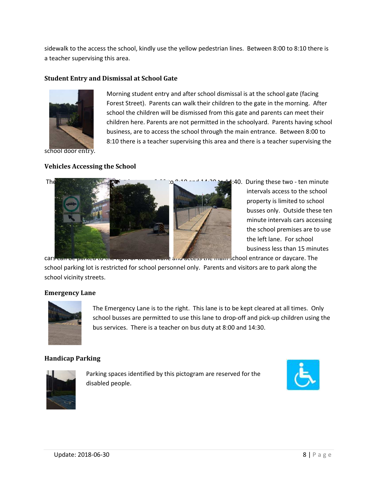sidewalk to the access the school, kindly use the yellow pedestrian lines. Between 8:00 to 8:10 there is a teacher supervising this area.

> Morning student entry and after school dismissal is at the school gate (facing Forest Street). Parents can walk their children to the gate in the morning. After school the children will be dismissed from this gate and parents can meet their children here. Parents are not permitted in the schoolyard. Parents having school business, are to access the school through the main entrance. Between 8:00 to 8:10 there is a teacher supervising this area and there is a teacher supervising the

#### **Student Entry and Dismissal at School Gate**



school door entry.

#### **Vehicles Accessing the School**



intervals access to the school property is limited to school busses only. Outside these ten minute intervals cars accessing the school premises are to use the left lane. For school business less than 15 minutes

school parking lot is restricted for school personnel only. Parents and visitors are to park along the school vicinity streets.

#### **Emergency Lane**



The Emergency Lane is to the right. This lane is to be kept cleared at all times. Only school busses are permitted to use this lane to drop-off and pick-up children using the bus services. There is a teacher on bus duty at 8:00 and 14:30.

#### **Handicap Parking**



Parking spaces identified by this pictogram are reserved for the disabled people.

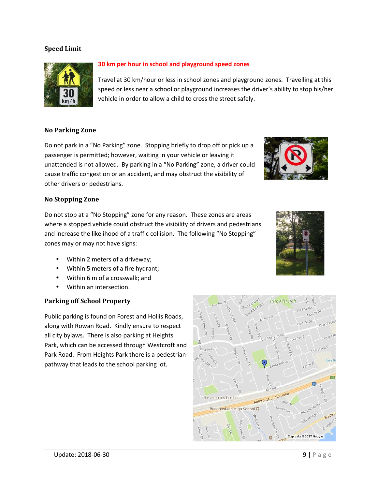#### **Speed Limit**



#### **30 km per hour in school and playground speed zones**

Travel at 30 km/hour or less in school zones and playground zones. Travelling at this speed or less near a school or playground increases the driver's ability to stop his/her vehicle in order to allow a child to cross the street safely.

#### **No Parking Zone**

Do not park in a "No Parking" zone. Stopping briefly to drop off or pick up a passenger is permitted; however, waiting in your vehicle or leaving it unattended is not allowed. By parking in a "No Parking" zone, a driver could cause traffic congestion or an accident, and may obstruct the visibility of other drivers or pedestrians.

#### **No Stopping Zone**

Do not stop at a "No Stopping" zone for any reason. These zones are areas where a stopped vehicle could obstruct the visibility of drivers and pedestrians and increase the likelihood of a traffic collision. The following "No Stopping" zones may or may not have signs:

- Within 2 meters of a driveway;
- Within 5 meters of a fire hydrant;
- Within 6 m of a crosswalk; and
- Within an intersection.

#### **Parking off School Property**

Public parking is found on Forest and Hollis Roads, along with Rowan Road. Kindly ensure to respect all city bylaws. There is also parking at Heights Park, which can be accessed through Westcroft and Park Road. From Heights Park there is a pedestrian pathway that leads to the school parking lot.



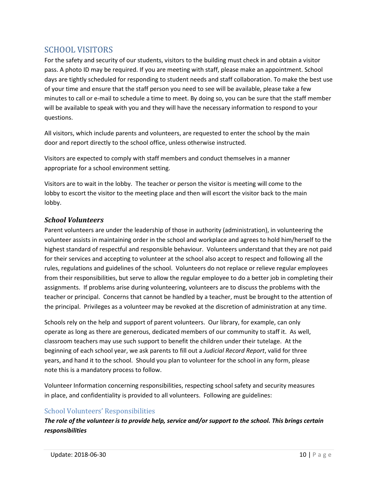# SCHOOL VISITORS

For the safety and security of our students, visitors to the building must check in and obtain a visitor pass. A photo ID may be required. If you are meeting with staff, please make an appointment. School days are tightly scheduled for responding to student needs and staff collaboration. To make the best use of your time and ensure that the staff person you need to see will be available, please take a few minutes to call or e-mail to schedule a time to meet. By doing so, you can be sure that the staff member will be available to speak with you and they will have the necessary information to respond to your questions.

All visitors, which include parents and volunteers, are requested to enter the school by the main door and report directly to the school office, unless otherwise instructed.

Visitors are expected to comply with staff members and conduct themselves in a manner appropriate for a school environment setting.

Visitors are to wait in the lobby. The teacher or person the visitor is meeting will come to the lobby to escort the visitor to the meeting place and then will escort the visitor back to the main lobby.

## *School Volunteers*

Parent volunteers are under the leadership of those in authority (administration), in volunteering the volunteer assists in maintaining order in the school and workplace and agrees to hold him/herself to the highest standard of respectful and responsible behaviour. Volunteers understand that they are not paid for their services and accepting to volunteer at the school also accept to respect and following all the rules, regulations and guidelines of the school. Volunteers do not replace or relieve regular employees from their responsibilities, but serve to allow the regular employee to do a better job in completing their assignments. If problems arise during volunteering, volunteers are to discuss the problems with the teacher or principal. Concerns that cannot be handled by a teacher, must be brought to the attention of the principal. Privileges as a volunteer may be revoked at the discretion of administration at any time.

Schools rely on the help and support of parent volunteers. Our library, for example, can only operate as long as there are generous, dedicated members of our community to staff it. As well, classroom teachers may use such support to benefit the children under their tutelage. At the beginning of each school year, we ask parents to fill out a *Judicial Record Report*, valid for three years, and hand it to the school. Should you plan to volunteer for the school in any form, please note this is a mandatory process to follow.

Volunteer Information concerning responsibilities, respecting school safety and security measures in place, and confidentiality is provided to all volunteers. Following are guidelines:

## School Volunteers' Responsibilities

*The role of the volunteer is to provide help, service and/or support to the school. This brings certain responsibilities*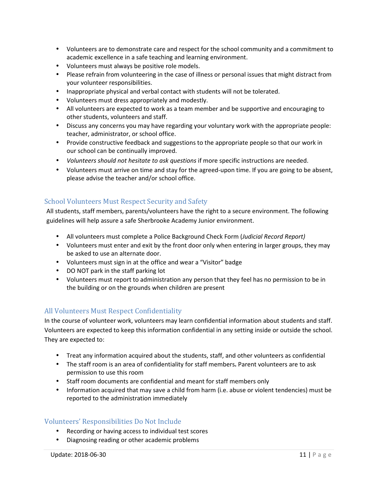- Volunteers are to demonstrate care and respect for the school community and a commitment to academic excellence in a safe teaching and learning environment.
- Volunteers must always be positive role models.
- Please refrain from volunteering in the case of illness or personal issues that might distract from your volunteer responsibilities.
- Inappropriate physical and verbal contact with students will not be tolerated.
- Volunteers must dress appropriately and modestly.
- All volunteers are expected to work as a team member and be supportive and encouraging to other students, volunteers and staff.
- Discuss any concerns you may have regarding your voluntary work with the appropriate people: teacher, administrator, or school office.
- Provide constructive feedback and suggestions to the appropriate people so that our work in our school can be continually improved.
- *Volunteers should not hesitate to ask questions* if more specific instructions are needed.
- Volunteers must arrive on time and stay for the agreed-upon time. If you are going to be absent, please advise the teacher and/or school office.

#### School Volunteers Must Respect Security and Safety

All students, staff members, parents/volunteers have the right to a secure environment. The following guidelines will help assure a safe Sherbrooke Academy Junior environment.

- All volunteers must complete a Police Background Check Form (*Judicial Record Report)*
- Volunteers must enter and exit by the front door only when entering in larger groups, they may be asked to use an alternate door.
- Volunteers must sign in at the office and wear a "Visitor" badge
- DO NOT park in the staff parking lot
- Volunteers must report to administration any person that they feel has no permission to be in the building or on the grounds when children are present

#### All Volunteers Must Respect Confidentiality

In the course of volunteer work, volunteers may learn confidential information about students and staff. Volunteers are expected to keep this information confidential in any setting inside or outside the school. They are expected to:

- Treat any information acquired about the students, staff, and other volunteers as confidential
- The staff room is an area of confidentiality for staff members**.** Parent volunteers are to ask permission to use this room
- Staff room documents are confidential and meant for staff members only
- Information acquired that may save a child from harm (i.e. abuse or violent tendencies) must be reported to the administration immediately

#### Volunteers' Responsibilities Do Not Include

- Recording or having access to individual test scores
- Diagnosing reading or other academic problems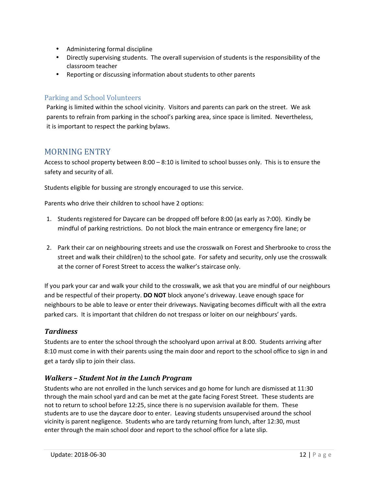- Administering formal discipline
- Directly supervising students. The overall supervision of students is the responsibility of the classroom teacher
- Reporting or discussing information about students to other parents

## Parking and School Volunteers

Parking is limited within the school vicinity. Visitors and parents can park on the street. We ask parents to refrain from parking in the school's parking area, since space is limited. Nevertheless, it is important to respect the parking bylaws.

# MORNING ENTRY

Access to school property between 8:00 – 8:10 is limited to school busses only. This is to ensure the safety and security of all.

Students eligible for bussing are strongly encouraged to use this service.

Parents who drive their children to school have 2 options:

- 1. Students registered for Daycare can be dropped off before 8:00 (as early as 7:00). Kindly be mindful of parking restrictions. Do not block the main entrance or emergency fire lane; or
- 2. Park their car on neighbouring streets and use the crosswalk on Forest and Sherbrooke to cross the street and walk their child(ren) to the school gate. For safety and security, only use the crosswalk at the corner of Forest Street to access the walker's staircase only.

If you park your car and walk your child to the crosswalk, we ask that you are mindful of our neighbours and be respectful of their property. **DO NOT** block anyone's driveway. Leave enough space for neighbours to be able to leave or enter their driveways. Navigating becomes difficult with all the extra parked cars. It is important that children do not trespass or loiter on our neighbours' yards.

#### *Tardiness*

Students are to enter the school through the schoolyard upon arrival at 8:00. Students arriving after 8:10 must come in with their parents using the main door and report to the school office to sign in and get a tardy slip to join their class.

## *Walkers – Student Not in the Lunch Program*

Students who are not enrolled in the lunch services and go home for lunch are dismissed at 11:30 through the main school yard and can be met at the gate facing Forest Street. These students are not to return to school before 12:25, since there is no supervision available for them. These students are to use the daycare door to enter. Leaving students unsupervised around the school vicinity is parent negligence. Students who are tardy returning from lunch, after 12:30, must enter through the main school door and report to the school office for a late slip.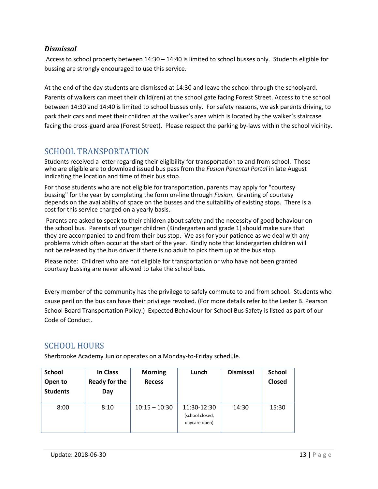#### *Dismissal*

 Access to school property between 14:30 – 14:40 is limited to school busses only. Students eligible for bussing are strongly encouraged to use this service.

At the end of the day students are dismissed at 14:30 and leave the school through the schoolyard. Parents of walkers can meet their child(ren) at the school gate facing Forest Street. Access to the school between 14:30 and 14:40 is limited to school busses only. For safety reasons, we ask parents driving, to park their cars and meet their children at the walker's area which is located by the walker's staircase facing the cross-guard area (Forest Street). Please respect the parking by-laws within the school vicinity.

# SCHOOL TRANSPORTATION

Students received a letter regarding their eligibility for transportation to and from school. Those who are eligible are to download issued bus pass from the *Fusion Parental Portal* in late August indicating the location and time of their bus stop.

For those students who are not eligible for transportation, parents may apply for "courtesy bussing" for the year by completing the form on-line through *Fusion*. Granting of courtesy depends on the availability of space on the busses and the suitability of existing stops. There is a cost for this service charged on a yearly basis.

 Parents are asked to speak to their children about safety and the necessity of good behaviour on the school bus. Parents of younger children (Kindergarten and grade 1) should make sure that they are accompanied to and from their bus stop. We ask for your patience as we deal with any problems which often occur at the start of the year. Kindly note that kindergarten children will not be released by the bus driver if there is no adult to pick them up at the bus stop.

Please note: Children who are not eligible for transportation or who have not been granted courtesy bussing are never allowed to take the school bus.

Every member of the community has the privilege to safely commute to and from school. Students who cause peril on the bus can have their privilege revoked. (For more details refer to the Lester B. Pearson School Board Transportation Policy.) Expected Behaviour for School Bus Safety is listed as part of our Code of Conduct.

# SCHOOL HOURS

| <b>School</b>   | In Class             | <b>Morning</b>  | Lunch           | <b>Dismissal</b> | <b>School</b> |
|-----------------|----------------------|-----------------|-----------------|------------------|---------------|
| Open to         | <b>Ready for the</b> | <b>Recess</b>   |                 |                  | Closed        |
| <b>Students</b> | Day                  |                 |                 |                  |               |
|                 |                      |                 |                 |                  |               |
| 8:00            | 8:10                 | $10:15 - 10:30$ | 11:30-12:30     | 14:30            | 15:30         |
|                 |                      |                 | (school closed, |                  |               |
|                 |                      |                 | daycare open)   |                  |               |
|                 |                      |                 |                 |                  |               |

Sherbrooke Academy Junior operates on a Monday-to-Friday schedule.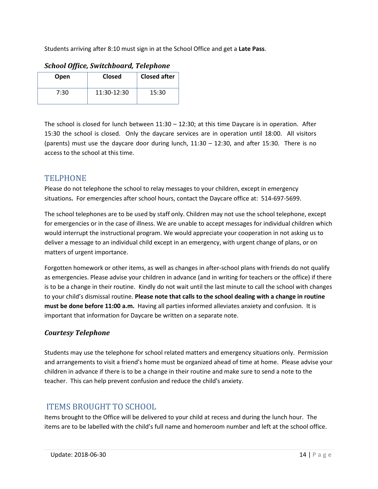Students arriving after 8:10 must sign in at the School Office and get a **Late Pass**.

| Open | Closed      | <b>Closed after</b> |
|------|-------------|---------------------|
| 7:30 | 11:30-12:30 | 15:30               |

The school is closed for lunch between 11:30 – 12:30; at this time Daycare is in operation. After 15:30 the school is closed. Only the daycare services are in operation until 18:00. All visitors (parents) must use the daycare door during lunch, 11:30 – 12:30, and after 15:30. There is no access to the school at this time.

# **TELPHONE**

Please do not telephone the school to relay messages to your children, except in emergency situations**.** For emergencies after school hours, contact the Daycare office at: 514-697-5699.

The school telephones are to be used by staff only. Children may not use the school telephone, except for emergencies or in the case of illness. We are unable to accept messages for individual children which would interrupt the instructional program. We would appreciate your cooperation in not asking us to deliver a message to an individual child except in an emergency, with urgent change of plans, or on matters of urgent importance.

Forgotten homework or other items, as well as changes in after-school plans with friends do not qualify as emergencies. Please advise your children in advance (and in writing for teachers or the office) if there is to be a change in their routine. Kindly do not wait until the last minute to call the school with changes to your child's dismissal routine. **Please note that calls to the school dealing with a change in routine must be done before 11:00 a.m.** Having all parties informed alleviates anxiety and confusion. It is important that information for Daycare be written on a separate note.

## *Courtesy Telephone*

Students may use the telephone for school related matters and emergency situations only. Permission and arrangements to visit a friend's home must be organized ahead of time at home. Please advise your children in advance if there is to be a change in their routine and make sure to send a note to the teacher. This can help prevent confusion and reduce the child's anxiety.

# ITEMS BROUGHT TO SCHOOL

Items brought to the Office will be delivered to your child at recess and during the lunch hour. The items are to be labelled with the child's full name and homeroom number and left at the school office.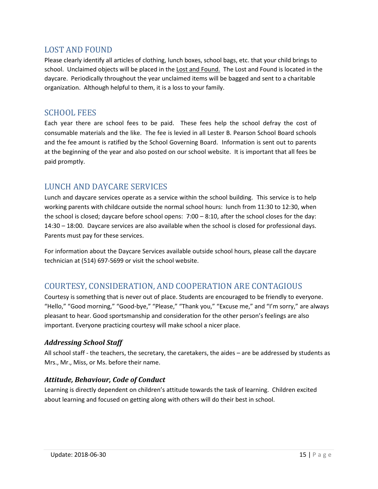## LOST AND FOUND

Please clearly identify all articles of clothing, lunch boxes, school bags, etc. that your child brings to school. Unclaimed objects will be placed in the Lost and Found. The Lost and Found is located in the daycare. Periodically throughout the year unclaimed items will be bagged and sent to a charitable organization. Although helpful to them, it is a loss to your family.

## SCHOOL FEES

Each year there are school fees to be paid. These fees help the school defray the cost of consumable materials and the like. The fee is levied in all Lester B. Pearson School Board schools and the fee amount is ratified by the School Governing Board. Information is sent out to parents at the beginning of the year and also posted on our school website. It is important that all fees be paid promptly.

# LUNCH AND DAYCARE SERVICES

Lunch and daycare services operate as a service within the school building. This service is to help working parents with childcare outside the normal school hours: lunch from 11:30 to 12:30, when the school is closed; daycare before school opens: 7:00 – 8:10, after the school closes for the day: 14:30 – 18:00. Daycare services are also available when the school is closed for professional days. Parents must pay for these services.

For information about the Daycare Services available outside school hours, please call the daycare technician at (514) 697-5699 or visit the school website.

# COURTESY, CONSIDERATION, AND COOPERATION ARE CONTAGIOUS

Courtesy is something that is never out of place. Students are encouraged to be friendly to everyone. "Hello," "Good morning," "Good-bye," "Please," "Thank you," "Excuse me," and "I'm sorry," are always pleasant to hear. Good sportsmanship and consideration for the other person's feelings are also important. Everyone practicing courtesy will make school a nicer place.

## *Addressing School Staff*

All school staff - the teachers, the secretary, the caretakers, the aides – are be addressed by students as Mrs., Mr., Miss, or Ms. before their name.

## *Attitude, Behaviour, Code of Conduct*

Learning is directly dependent on children's attitude towards the task of learning. Children excited about learning and focused on getting along with others will do their best in school.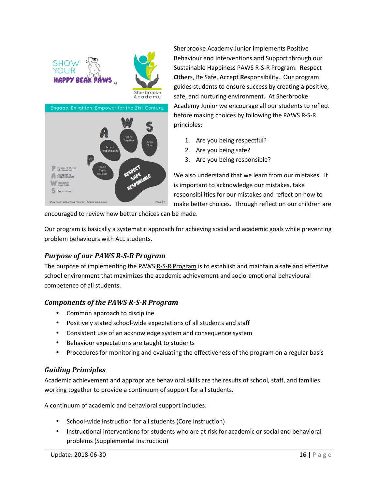



Sherbrooke Academy Junior implements Positive Behaviour and Interventions and Support through our Sustainable Happiness PAWS R-S-R Program: Respect **O**thers, Be Safe, **A**ccept **R**esponsibility. Our program guides students to ensure success by creating a positive, safe, and nurturing environment. At Sherbrooke Academy Junior we encourage all our students to reflect **Others, Be Safe, Accept Responsibility. Our program guides students to ensure success by creating a positionally safe, and nurturing environment. At Sherbrooke Academy Junior we encourage all our students to refl before m** principles:

- 1. Are you being respectful?
- 2. Are you being safe?
- 3. Are you being responsible?

We also understand that we learn from our mistakes. It is important to acknowledge our mistakes, take responsibilities for our mistakes and reflect on how to make better choices. Through reflection our children are also understand that we learn from our mistakes. It<br>nportant to acknowledge our mistakes, take<br>oonsibilities for our mistakes and reflect on how to<br>ree better choices. Through reflection our children are<br>ade.<br>achieving soc

encouraged to review how better choices can be made.

encouraged to review how better choices can be made.<br>Our program is basically a systematic approach for achieving social and academic goals while preventing problem behaviours with ALL students. m

#### *Purpose of our PAWS R-S-R Program Program*

The purpose of implementing the PAWS R-S-R Program is to establish and maintain a safe and effective school environment that maximizes the academic achievement and socio-emotional behavioural competence of all students.

## **Components of the PAWS R-S-R Program**

- Common approach to discipline
- Positively stated school-wide expectations of all students and staff
- Consistent use of an acknowledge system and consequence system
- Behaviour expectations are taught to students
- Procedures for monitoring and evaluating the effectiveness of the program on a regular basis

#### *Guiding Principles*

Academic achievement and appropriate behavioral skills are the results of school, staff, and families working together to provide a continuum of support for all students. Common approach to discipline<br>
Positively stated school-wide expectations of all students and staff<br>
Consistent use of an acknowledge system and consequence system<br>
Behaviour expectations are taught to students<br>
Procedures

A continuum of academic and behavioral support includes:

- School-wide instruction for all students (Core Instruction)
- ortinuum of academic and behavioral support includes:<br>• School-wide instruction for all students (Core Instruction)<br>• Instructional interventions for students who are at risk for academic or social and behavioral problems (Supplemental Instruction)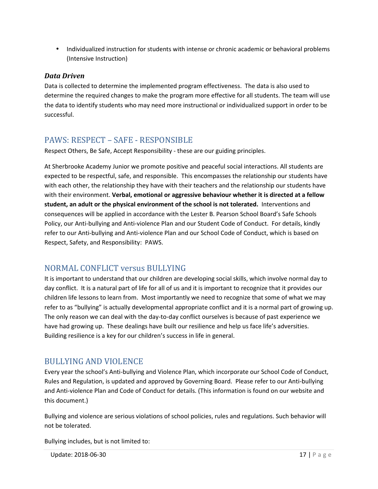• Individualized instruction for students with intense or chronic academic or behavioral problems (Intensive Instruction)

## *Data Driven*

Data is collected to determine the implemented program effectiveness. The data is also used to determine the required changes to make the program more effective for all students. The team will use the data to identify students who may need more instructional or individualized support in order to be successful.

# PAWS: RESPECT – SAFE - RESPONSIBLE

Respect Others, Be Safe, Accept Responsibility - these are our guiding principles.

At Sherbrooke Academy Junior we promote positive and peaceful social interactions. All students are expected to be respectful, safe, and responsible. This encompasses the relationship our students have with each other, the relationship they have with their teachers and the relationship our students have with their environment. **Verbal, emotional or aggressive behaviour whether it is directed at a fellow student, an adult or the physical environment of the school is not tolerated.** Interventions and consequences will be applied in accordance with the Lester B. Pearson School Board's Safe Schools Policy, our Anti-bullying and Anti-violence Plan and our Student Code of Conduct. For details, kindly refer to our Anti-bullying and Anti-violence Plan and our School Code of Conduct, which is based on Respect, Safety, and Responsibility: PAWS.

# NORMAL CONFLICT versus BULLYING

It is important to understand that our children are developing social skills, which involve normal day to day conflict. It is a natural part of life for all of us and it is important to recognize that it provides our children life lessons to learn from. Most importantly we need to recognize that some of what we may refer to as "bullying" is actually developmental appropriate conflict and it is a normal part of growing up. The only reason we can deal with the day-to-day conflict ourselves is because of past experience we have had growing up. These dealings have built our resilience and help us face life's adversities. Building resilience is a key for our children's success in life in general.

# BULLYING AND VIOLENCE

Every year the school's Anti-bullying and Violence Plan, which incorporate our School Code of Conduct, Rules and Regulation, is updated and approved by Governing Board. Please refer to our Anti-bullying and Anti-violence Plan and Code of Conduct for details. (This information is found on our website and this document.)

Bullying and violence are serious violations of school policies, rules and regulations. Such behavior will not be tolerated.

Bullying includes, but is not limited to: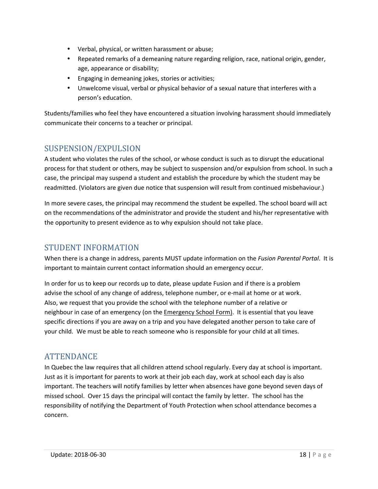- Verbal, physical, or written harassment or abuse;
- Repeated remarks of a demeaning nature regarding religion, race, national origin, gender, age, appearance or disability;
- Engaging in demeaning jokes, stories or activities;
- Unwelcome visual, verbal or physical behavior of a sexual nature that interferes with a person's education.

Students/families who feel they have encountered a situation involving harassment should immediately communicate their concerns to a teacher or principal.

# SUSPENSION/EXPULSION

A student who violates the rules of the school, or whose conduct is such as to disrupt the educational process for that student or others, may be subject to suspension and/or expulsion from school. In such a case, the principal may suspend a student and establish the procedure by which the student may be readmitted. (Violators are given due notice that suspension will result from continued misbehaviour.)

In more severe cases, the principal may recommend the student be expelled. The school board will act on the recommendations of the administrator and provide the student and his/her representative with the opportunity to present evidence as to why expulsion should not take place.

# STUDENT INFORMATION

When there is a change in address, parents MUST update information on the *Fusion Parental Portal*. It is important to maintain current contact information should an emergency occur.

In order for us to keep our records up to date, please update Fusion and if there is a problem advise the school of any change of address, telephone number, or e-mail at home or at work. Also, we request that you provide the school with the telephone number of a relative or neighbour in case of an emergency (on the Emergency School Form). It is essential that you leave specific directions if you are away on a trip and you have delegated another person to take care of your child. We must be able to reach someone who is responsible for your child at all times.

# ATTENDANCE

In Quebec the law requires that all children attend school regularly. Every day at school is important. Just as it is important for parents to work at their job each day, work at school each day is also important. The teachers will notify families by letter when absences have gone beyond seven days of missed school. Over 15 days the principal will contact the family by letter. The school has the responsibility of notifying the Department of Youth Protection when school attendance becomes a concern.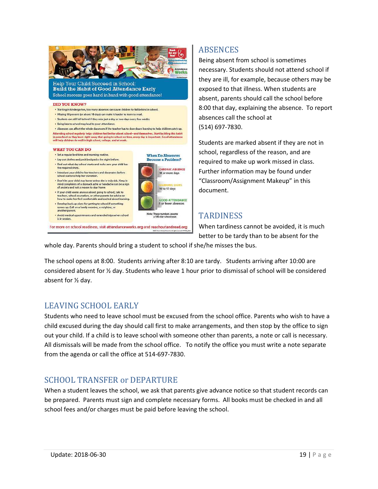

# **ABSENCES**

Being absent from school is sometimes necessary. Students should not attend school if they are ill, for example, because others may be exposed to that illness. When students are absent, parents should call the school before 8:00 that day, explaining the absence. To report absences call the school at (514) 697-7830.

Students are marked absent if they are not in school, regardless of the reason, and are required to make up work missed in class. Further information may be found under "Classroom/Assignment Makeup" in this document.

# **TARDINESS**

When tardiness cannot be avoided, it is much better to be tardy than to be absent for the

whole day. Parents should bring a student to school if she/he misses the bus.

The school opens at 8:00. Students arriving after 8:10 are tardy. Students arriving after 10:00 are considered absent for ½ day. Students who leave 1 hour prior to dismissal of school will be considered absent for ½ day.

# LEAVING SCHOOL EARLY

Students who need to leave school must be excused from the school office. Parents who wish to have a child excused during the day should call first to make arrangements, and then stop by the office to sign out your child. If a child is to leave school with someone other than parents, a note or call is necessary. All dismissals will be made from the school office. To notify the office you must write a note separate from the agenda or call the office at 514-697-7830.

# SCHOOL TRANSFER or DEPARTURE

When a student leaves the school, we ask that parents give advance notice so that student records can be prepared. Parents must sign and complete necessary forms. All books must be checked in and all school fees and/or charges must be paid before leaving the school.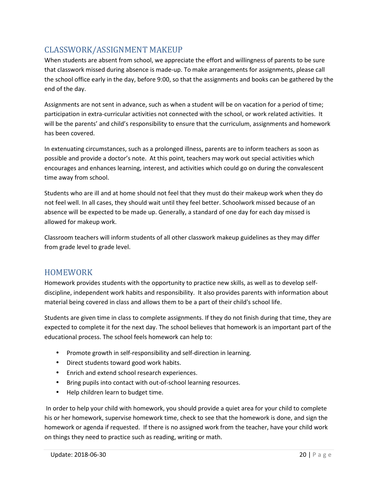# CLASSWORK/ASSIGNMENT MAKEUP

When students are absent from school, we appreciate the effort and willingness of parents to be sure that classwork missed during absence is made-up. To make arrangements for assignments, please call the school office early in the day, before 9:00, so that the assignments and books can be gathered by the end of the day.

Assignments are not sent in advance, such as when a student will be on vacation for a period of time; participation in extra-curricular activities not connected with the school, or work related activities. It will be the parents' and child's responsibility to ensure that the curriculum, assignments and homework has been covered.

In extenuating circumstances, such as a prolonged illness, parents are to inform teachers as soon as possible and provide a doctor's note. At this point, teachers may work out special activities which encourages and enhances learning, interest, and activities which could go on during the convalescent time away from school.

Students who are ill and at home should not feel that they must do their makeup work when they do not feel well. In all cases, they should wait until they feel better. Schoolwork missed because of an absence will be expected to be made up. Generally, a standard of one day for each day missed is allowed for makeup work.

Classroom teachers will inform students of all other classwork makeup guidelines as they may differ from grade level to grade level.

# HOMEWORK

Homework provides students with the opportunity to practice new skills, as well as to develop selfdiscipline, independent work habits and responsibility. It also provides parents with information about material being covered in class and allows them to be a part of their child's school life.

Students are given time in class to complete assignments. If they do not finish during that time, they are expected to complete it for the next day. The school believes that homework is an important part of the educational process. The school feels homework can help to:

- Promote growth in self-responsibility and self-direction in learning.
- Direct students toward good work habits.
- Enrich and extend school research experiences.
- Bring pupils into contact with out-of-school learning resources.
- Help children learn to budget time.

 In order to help your child with homework, you should provide a quiet area for your child to complete his or her homework, supervise homework time, check to see that the homework is done, and sign the homework or agenda if requested. If there is no assigned work from the teacher, have your child work on things they need to practice such as reading, writing or math.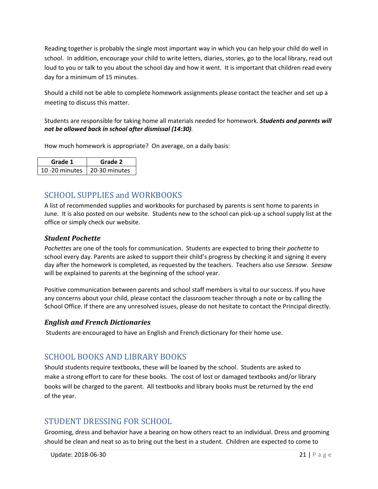Reading together is probably the single most important way in which you can help your child do well in school. In addition, encourage your child to write letters, diaries, stories, go to the local library, read out loud to you or talk to you about the school day and how it went. It is important that children read every day for a minimum of 15 minutes.

Should a child not be able to complete homework assignments please contact the teacher and set up a meeting to discuss this matter.

#### Students are responsible for taking home all materials needed for homework. *Students and parents will not be allowed back in school after dismissal (14:30).*

How much homework is appropriate? On average, on a daily basis:

| Grade 1                        | Grade 2 |
|--------------------------------|---------|
| 10 -20 minutes   20-30 minutes |         |

# SCHOOL SUPPLIES and WORKBOOKS

A list of recommended supplies and workbooks for purchased by parents is sent home to parents in June. It is also posted on our website. Students new to the school can pick-up a school supply list at the office or simply check our website.

## *Student Pochette*

*Pochettes* are one of the tools for communication. Students are expected to bring their *pochette* to school every day. Parents are asked to support their child's progress by checking it and signing it every day after the homework is completed, as requested by the teachers. Teachers also use *Seesaw*. *Seesaw* will be explained to parents at the beginning of the school year.

Positive communication between parents and school staff members is vital to our success. If you have any concerns about your child, please contact the classroom teacher through a note or by calling the School Office. If there are any unresolved issues, please do not hesitate to contact the Principal directly.

#### *English and French Dictionaries*

Students are encouraged to have an English and French dictionary for their home use.

# SCHOOL BOOKS AND LIBRARY BOOKS

Should students require textbooks, these will be loaned by the school. Students are asked to make a strong effort to care for these books. The cost of lost or damaged textbooks and/or library books will be charged to the parent. All textbooks and library books must be returned by the end of the year.

# STUDENT DRESSING FOR SCHOOL

Grooming, dress and behavior have a bearing on how others react to an individual. Dress and grooming should be clean and neat so as to bring out the best in a student. Children are expected to come to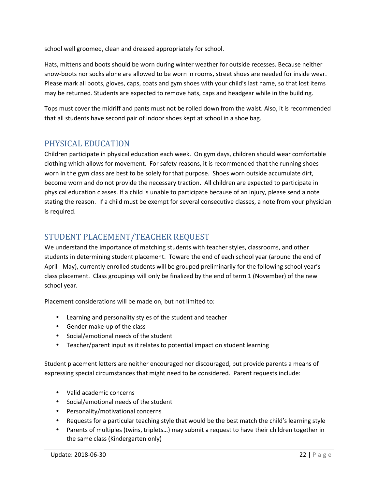school well groomed, clean and dressed appropriately for school.

Hats, mittens and boots should be worn during winter weather for outside recesses. Because neither snow-boots nor socks alone are allowed to be worn in rooms, street shoes are needed for inside wear. Please mark all boots, gloves, caps, coats and gym shoes with your child's last name, so that lost items may be returned. Students are expected to remove hats, caps and headgear while in the building.

Tops must cover the midriff and pants must not be rolled down from the waist. Also, it is recommended that all students have second pair of indoor shoes kept at school in a shoe bag.

# PHYSICAL EDUCATION

Children participate in physical education each week. On gym days, children should wear comfortable clothing which allows for movement. For safety reasons, it is recommended that the running shoes worn in the gym class are best to be solely for that purpose. Shoes worn outside accumulate dirt, become worn and do not provide the necessary traction. All children are expected to participate in physical education classes. If a child is unable to participate because of an injury, please send a note stating the reason. If a child must be exempt for several consecutive classes, a note from your physician is required.

# STUDENT PLACEMENT/TEACHER REQUEST

We understand the importance of matching students with teacher styles, classrooms, and other students in determining student placement. Toward the end of each school year (around the end of April - May), currently enrolled students will be grouped preliminarily for the following school year's class placement. Class groupings will only be finalized by the end of term 1 (November) of the new school year.

Placement considerations will be made on, but not limited to:

- Learning and personality styles of the student and teacher
- Gender make-up of the class
- Social/emotional needs of the student
- Teacher/parent input as it relates to potential impact on student learning

Student placement letters are neither encouraged nor discouraged, but provide parents a means of expressing special circumstances that might need to be considered. Parent requests include:

- Valid academic concerns
- Social/emotional needs of the student
- Personality/motivational concerns
- Requests for a particular teaching style that would be the best match the child's learning style
- Parents of multiples (twins, triplets…) may submit a request to have their children together in the same class (Kindergarten only)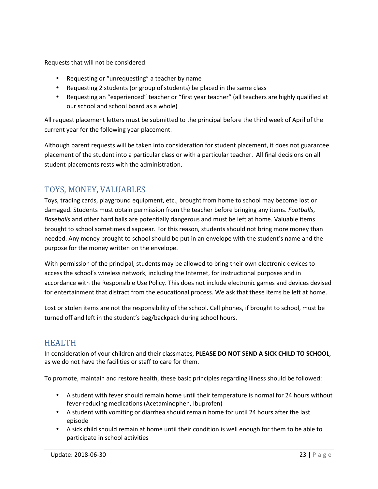Requests that will not be considered:

- Requesting or "unrequesting" a teacher by name
- Requesting 2 students (or group of students) be placed in the same class
- Requesting an "experienced" teacher or "first year teacher" (all teachers are highly qualified at our school and school board as a whole)

All request placement letters must be submitted to the principal before the third week of April of the current year for the following year placement.

Although parent requests will be taken into consideration for student placement, it does not guarantee placement of the student into a particular class or with a particular teacher. All final decisions on all student placements rests with the administration.

# TOYS, MONEY, VALUABLES

Toys, trading cards, playground equipment, etc., brought from home to school may become lost or damaged. Students must obtain permission from the teacher before bringing any items. *Footballs*, *Baseballs* and other hard balls are potentially dangerous and must be left at home. Valuable items brought to school sometimes disappear. For this reason, students should not bring more money than needed. Any money brought to school should be put in an envelope with the student's name and the purpose for the money written on the envelope.

With permission of the principal, students may be allowed to bring their own electronic devices to access the school's wireless network, including the Internet, for instructional purposes and in accordance with the Responsible Use Policy. This does not include electronic games and devices devised for entertainment that distract from the educational process. We ask that these items be left at home.

Lost or stolen items are not the responsibility of the school. Cell phones, if brought to school, must be turned off and left in the student's bag/backpack during school hours.

# HEALTH

In consideration of your children and their classmates, **PLEASE DO NOT SEND A SICK CHILD TO SCHOOL**, as we do not have the facilities or staff to care for them.

To promote, maintain and restore health, these basic principles regarding illness should be followed:

- A student with fever should remain home until their temperature is normal for 24 hours without fever-reducing medications (Acetaminophen, Ibuprofen)
- A student with vomiting or diarrhea should remain home for until 24 hours after the last episode
- A sick child should remain at home until their condition is well enough for them to be able to participate in school activities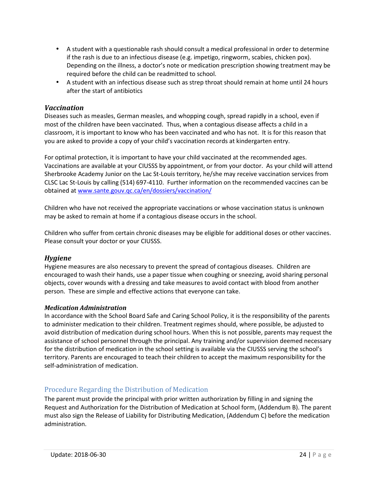- A student with a questionable rash should consult a medical professional in order to determine if the rash is due to an infectious disease (e.g. impetigo, ringworm, scabies, chicken pox). Depending on the illness, a doctor's note or medication prescription showing treatment may be required before the child can be readmitted to school.
- A student with an infectious disease such as strep throat should remain at home until 24 hours after the start of antibiotics

#### *Vaccination*

Diseases such as measles, German measles, and whopping cough, spread rapidly in a school, even if most of the children have been vaccinated. Thus, when a contagious disease affects a child in a classroom, it is important to know who has been vaccinated and who has not. It is for this reason that you are asked to provide a copy of your child's vaccination records at kindergarten entry.

For optimal protection, it is important to have your child vaccinated at the recommended ages. Vaccinations are available at your CIUSSS by appointment, or from your doctor. As your child will attend Sherbrooke Academy Junior on the Lac St-Louis territory, he/she may receive vaccination services from CLSC Lac St-Louis by calling (514) 697-4110. Further information on the recommended vaccines can be obtained at www.sante.gouv.qc.ca/en/dossiers/vaccination/

Children who have not received the appropriate vaccinations or whose vaccination status is unknown may be asked to remain at home if a contagious disease occurs in the school.

Children who suffer from certain chronic diseases may be eligible for additional doses or other vaccines. Please consult your doctor or your CIUSSS.

#### *Hygiene*

Hygiene measures are also necessary to prevent the spread of contagious diseases. Children are encouraged to wash their hands, use a paper tissue when coughing or sneezing, avoid sharing personal objects, cover wounds with a dressing and take measures to avoid contact with blood from another person. These are simple and effective actions that everyone can take.

#### *Medication Administration*

In accordance with the School Board Safe and Caring School Policy, it is the responsibility of the parents to administer medication to their children. Treatment regimes should, where possible, be adjusted to avoid distribution of medication during school hours. When this is not possible, parents may request the assistance of school personnel through the principal. Any training and/or supervision deemed necessary for the distribution of medication in the school setting is available via the CIUSSS serving the school's territory. Parents are encouraged to teach their children to accept the maximum responsibility for the self-administration of medication.

#### Procedure Regarding the Distribution of Medication

The parent must provide the principal with prior written authorization by filling in and signing the Request and Authorization for the Distribution of Medication at School form, (Addendum B). The parent must also sign the Release of Liability for Distributing Medication, (Addendum C) before the medication administration.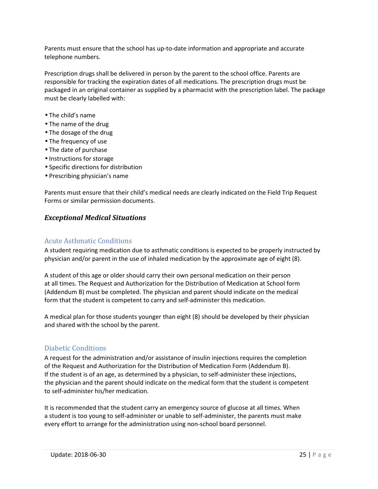Parents must ensure that the school has up-to-date information and appropriate and accurate telephone numbers.

Prescription drugs shall be delivered in person by the parent to the school office. Parents are responsible for tracking the expiration dates of all medications. The prescription drugs must be packaged in an original container as supplied by a pharmacist with the prescription label. The package must be clearly labelled with:

- The child's name
- The name of the drug
- The dosage of the drug
- The frequency of use
- The date of purchase
- Instructions for storage
- Specific directions for distribution
- Prescribing physician's name

Parents must ensure that their child's medical needs are clearly indicated on the Field Trip Request Forms or similar permission documents.

#### *Exceptional Medical Situations*

#### Acute Asthmatic Conditions

A student requiring medication due to asthmatic conditions is expected to be properly instructed by physician and/or parent in the use of inhaled medication by the approximate age of eight (8).

A student of this age or older should carry their own personal medication on their person at all times. The Request and Authorization for the Distribution of Medication at School form (Addendum B) must be completed. The physician and parent should indicate on the medical form that the student is competent to carry and self-administer this medication.

A medical plan for those students younger than eight (8) should be developed by their physician and shared with the school by the parent.

#### Diabetic Conditions

A request for the administration and/or assistance of insulin injections requires the completion of the Request and Authorization for the Distribution of Medication Form (Addendum B). If the student is of an age, as determined by a physician, to self-administer these injections, the physician and the parent should indicate on the medical form that the student is competent to self-administer his/her medication.

It is recommended that the student carry an emergency source of glucose at all times. When a student is too young to self-administer or unable to self-administer, the parents must make every effort to arrange for the administration using non-school board personnel.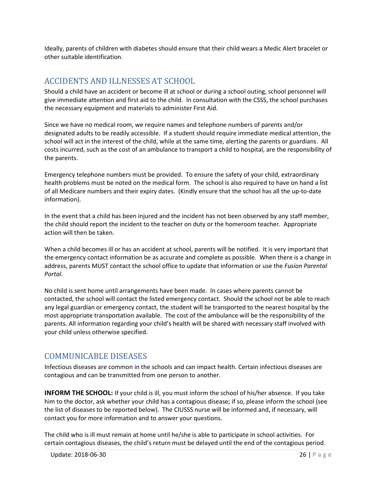Ideally, parents of children with diabetes should ensure that their child wears a Medic Alert bracelet or other suitable identification.

# ACCIDENTS AND ILLNESSES AT SCHOOL

Should a child have an accident or become ill at school or during a school outing, school personnel will give immediate attention and first aid to the child. In consultation with the CSSS, the school purchases the necessary equipment and materials to administer First Aid.

Since we have no medical room, we require names and telephone numbers of parents and/or designated adults to be readily accessible. If a student should require immediate medical attention, the school will act in the interest of the child, while at the same time, alerting the parents or guardians. All costs incurred, such as the cost of an ambulance to transport a child to hospital, are the responsibility of the parents.

Emergency telephone numbers must be provided. To ensure the safety of your child, extraordinary health problems must be noted on the medical form. The school is also required to have on hand a list of all Medicare numbers and their expiry dates. (Kindly ensure that the school has all the up-to-date information).

In the event that a child has been injured and the incident has not been observed by any staff member, the child should report the incident to the teacher on duty or the homeroom teacher. Appropriate action will then be taken.

When a child becomes ill or has an accident at school, parents will be notified. It is very important that the emergency contact information be as accurate and complete as possible. When there is a change in address, parents MUST contact the school office to update that information or use the *Fusion Parental Portal.* 

No child is sent home until arrangements have been made. In cases where parents cannot be contacted, the school will contact the listed emergency contact. Should the school not be able to reach any legal guardian or emergency contact, the student will be transported to the nearest hospital by the most appropriate transportation available. The cost of the ambulance will be the responsibility of the parents. All information regarding your child's health will be shared with necessary staff involved with your child unless otherwise specified.

# COMMUNICABLE DISEASES

Infectious diseases are common in the schools and can impact health. Certain infectious diseases are contagious and can be transmitted from one person to another.

**INFORM THE SCHOOL:** If your child is ill, you must inform the school of his/her absence. If you take him to the doctor, ask whether your child has a contagious disease; if so, please inform the school (see the list of diseases to be reported below). The CIUSSS nurse will be informed and, if necessary, will contact you for more information and to answer your questions.

The child who is ill must remain at home until he/she is able to participate in school activities. For certain contagious diseases, the child's return must be delayed until the end of the contagious period.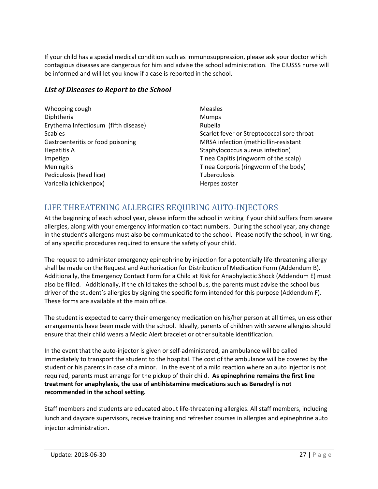If your child has a special medical condition such as immunosuppression, please ask your doctor which contagious diseases are dangerous for him and advise the school administration. The CIUSSS nurse will be informed and will let you know if a case is reported in the school.

## *List of Diseases to Report to the School*

| Whooping cough                       | Measles                                    |
|--------------------------------------|--------------------------------------------|
| Diphtheria                           | <b>Mumps</b>                               |
| Erythema Infectiosum (fifth disease) | Rubella                                    |
| <b>Scabies</b>                       | Scarlet fever or Streptococcal sore throat |
| Gastroenteritis or food poisoning    | MRSA infection (methicillin-resistant      |
| <b>Hepatitis A</b>                   | Staphylococcus aureus infection)           |
| Impetigo                             | Tinea Capitis (ringworm of the scalp)      |
| Meningitis                           | Tinea Corporis (ringworm of the body)      |
| Pediculosis (head lice)              | <b>Tuberculosis</b>                        |
| Varicella (chickenpox)               | Herpes zoster                              |

# LIFE THREATENING ALLERGIES REQUIRING AUTO-INJECTORS

At the beginning of each school year, please inform the school in writing if your child suffers from severe allergies, along with your emergency information contact numbers. During the school year, any change in the student's allergens must also be communicated to the school. Please notify the school, in writing, of any specific procedures required to ensure the safety of your child.

The request to administer emergency epinephrine by injection for a potentially life-threatening allergy shall be made on the Request and Authorization for Distribution of Medication Form (Addendum B). Additionally, the Emergency Contact Form for a Child at Risk for Anaphylactic Shock (Addendum E) must also be filled. Additionally, if the child takes the school bus, the parents must advise the school bus driver of the student's allergies by signing the specific form intended for this purpose (Addendum F). These forms are available at the main office.

The student is expected to carry their emergency medication on his/her person at all times, unless other arrangements have been made with the school. Ideally, parents of children with severe allergies should ensure that their child wears a Medic Alert bracelet or other suitable identification.

In the event that the auto-injector is given or self-administered, an ambulance will be called immediately to transport the student to the hospital. The cost of the ambulance will be covered by the student or his parents in case of a minor. In the event of a mild reaction where an auto injector is not required, parents must arrange for the pickup of their child. **As epinephrine remains the first line treatment for anaphylaxis, the use of antihistamine medications such as Benadryl is not recommended in the school setting.** 

Staff members and students are educated about life-threatening allergies. All staff members, including lunch and daycare supervisors, receive training and refresher courses in allergies and epinephrine auto injector administration.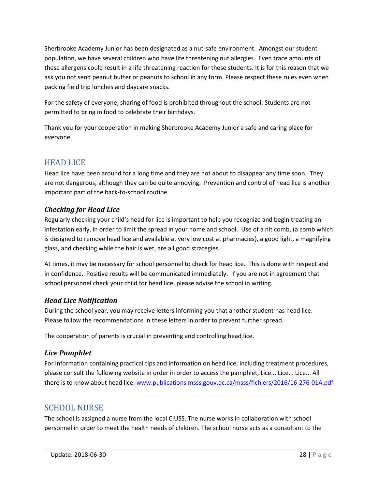Sherbrooke Academy Junior has been designated as a nut-safe environment. Amongst our student population, we have several children who have life threatening nut allergies. Even trace amounts of these allergens could result in a life threatening reaction for these students. It is for this reason that we ask you not send peanut butter or peanuts to school in any form. Please respect these rules even when packing field trip lunches and daycare snacks.

For the safety of everyone, sharing of food is prohibited throughout the school. Students are not permitted to bring in food to celebrate their birthdays.

Thank you for your cooperation in making Sherbrooke Academy Junior a safe and caring place for everyone.

# HEAD LICE

Head lice have been around for a long time and they are not about to disappear any time soon. They are not dangerous, although they can be quite annoying. Prevention and control of head lice is another important part of the back-to-school routine.

## *Checking for Head Lice*

Regularly checking your child's head for lice is important to help you recognize and begin treating an infestation early, in order to limit the spread in your home and school. Use of a nit comb, (a comb which is designed to remove head lice and available at very low cost at pharmacies), a good light, a magnifying glass, and checking while the hair is wet, are all good strategies.

At times, it may be necessary for school personnel to check for head lice. This is done with respect and in confidence. Positive results will be communicated immediately. If you are not in agreement that school personnel check your child for head lice, please advise the school in writing.

## *Head Lice Notification*

During the school year, you may receive letters informing you that another student has head lice. Please follow the recommendations in these letters in order to prevent further spread.

The cooperation of parents is crucial in preventing and controlling head lice.

## *Lice Pamphlet*

For information containing practical tips and information on head lice, including treatment procedures, please consult the following website in order in order to access the pamphlet, Lice... Lice... Lice... All there is to know about head lice. www.publications.msss.gouv.qc.ca/msss/fichiers/2016/16-276-01A.pdf

# SCHOOL NURSE

The school is assigned a nurse from the local CIUSS. The nurse works in collaboration with school personnel in order to meet the health needs of children. The school nurse acts as a consultant to the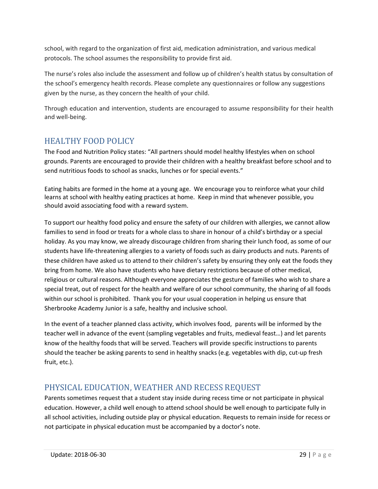school, with regard to the organization of first aid, medication administration, and various medical protocols. The school assumes the responsibility to provide first aid.

The nurse's roles also include the assessment and follow up of children's health status by consultation of the school's emergency health records. Please complete any questionnaires or follow any suggestions given by the nurse, as they concern the health of your child.

Through education and intervention, students are encouraged to assume responsibility for their health and well-being.

# HEALTHY FOOD POLICY

The Food and Nutrition Policy states: "All partners should model healthy lifestyles when on school grounds. Parents are encouraged to provide their children with a healthy breakfast before school and to send nutritious foods to school as snacks, lunches or for special events."

Eating habits are formed in the home at a young age. We encourage you to reinforce what your child learns at school with healthy eating practices at home. Keep in mind that whenever possible, you should avoid associating food with a reward system.

To support our healthy food policy and ensure the safety of our children with allergies, we cannot allow families to send in food or treats for a whole class to share in honour of a child's birthday or a special holiday. As you may know, we already discourage children from sharing their lunch food, as some of our students have life-threatening allergies to a variety of foods such as dairy products and nuts. Parents of these children have asked us to attend to their children's safety by ensuring they only eat the foods they bring from home. We also have students who have dietary restrictions because of other medical, religious or cultural reasons. Although everyone appreciates the gesture of families who wish to share a special treat, out of respect for the health and welfare of our school community, the sharing of all foods within our school is prohibited. Thank you for your usual cooperation in helping us ensure that Sherbrooke Academy Junior is a safe, healthy and inclusive school.

In the event of a teacher planned class activity, which involves food, parents will be informed by the teacher well in advance of the event (sampling vegetables and fruits, medieval feast…) and let parents know of the healthy foods that will be served. Teachers will provide specific instructions to parents should the teacher be asking parents to send in healthy snacks (e.g. vegetables with dip, cut-up fresh fruit, etc.).

# PHYSICAL EDUCATION, WEATHER AND RECESS REQUEST

Parents sometimes request that a student stay inside during recess time or not participate in physical education. However, a child well enough to attend school should be well enough to participate fully in all school activities, including outside play or physical education. Requests to remain inside for recess or not participate in physical education must be accompanied by a doctor's note.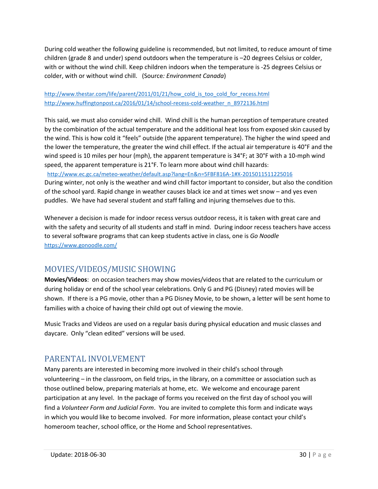During cold weather the following guideline is recommended, but not limited, to reduce amount of time children (grade 8 and under) spend outdoors when the temperature is –20 degrees Celsius or colder, with or without the wind chill. Keep children indoors when the temperature is -25 degrees Celsius or colder, with or without wind chill. (Source*: Environment Canada*)

#### http://www.thestar.com/life/parent/2011/01/21/how\_cold\_is\_too\_cold\_for\_recess.html http://www.huffingtonpost.ca/2016/01/14/school-recess-cold-weather\_n\_8972136.html

This said, we must also consider wind chill. Wind chill is the human perception of temperature created by the combination of the actual temperature and the additional heat loss from exposed skin caused by the wind. This is how cold it "feels" outside (the apparent temperature). The higher the wind speed and the lower the temperature, the greater the wind chill effect. If the actual air temperature is 40°F and the wind speed is 10 miles per hour (mph), the apparent temperature is 34°F; at 30°F with a 10-mph wind speed, the apparent temperature is 21°F. To learn more about wind chill hazards:

http://www.ec.gc.ca/meteo-weather/default.asp?lang=En&n=5FBF816A-1#X-2015011511225016

During winter, not only is the weather and wind chill factor important to consider, but also the condition of the school yard. Rapid change in weather causes black ice and at times wet snow – and yes even puddles. We have had several student and staff falling and injuring themselves due to this.

Whenever a decision is made for indoor recess versus outdoor recess, it is taken with great care and with the safety and security of all students and staff in mind. During indoor recess teachers have access to several software programs that can keep students active in class, one is *Go Noodle* https://www.gonoodle.com/

# MOVIES/VIDEOS/MUSIC SHOWING

**Movies/Videos**: on occasion teachers may show movies/videos that are related to the curriculum or during holiday or end of the school year celebrations. Only G and PG (Disney) rated movies will be shown. If there is a PG movie, other than a PG Disney Movie, to be shown, a letter will be sent home to families with a choice of having their child opt out of viewing the movie.

Music Tracks and Videos are used on a regular basis during physical education and music classes and daycare. Only "clean edited" versions will be used.

# PARENTAL INVOLVEMENT

Many parents are interested in becoming more involved in their child's school through volunteering – in the classroom, on field trips, in the library, on a committee or association such as those outlined below, preparing materials at home, etc. We welcome and encourage parent participation at any level. In the package of forms you received on the first day of school you will find a *Volunteer Form and Judicial Form*. You are invited to complete this form and indicate ways in which you would like to become involved. For more information, please contact your child's homeroom teacher, school office, or the Home and School representatives.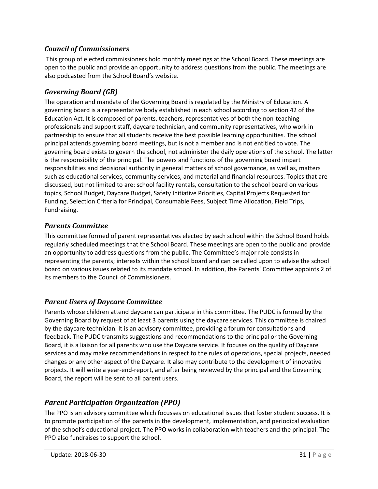## *Council of Commissioners*

This group of elected commissioners hold monthly meetings at the School Board. These meetings are open to the public and provide an opportunity to address questions from the public. The meetings are also podcasted from the School Board's website.

## *Governing Board (GB)*

The operation and mandate of the Governing Board is regulated by the Ministry of Education. A governing board is a representative body established in each school according to section 42 of the Education Act. It is composed of parents, teachers, representatives of both the non-teaching professionals and support staff, daycare technician, and community representatives, who work in partnership to ensure that all students receive the best possible learning opportunities. The school principal attends governing board meetings, but is not a member and is not entitled to vote. The governing board exists to govern the school, not administer the daily operations of the school. The latter is the responsibility of the principal. The powers and functions of the governing board impart responsibilities and decisional authority in general matters of school governance, as well as, matters such as educational services, community services, and material and financial resources. Topics that are discussed, but not limited to are: school facility rentals, consultation to the school board on various topics, School Budget, Daycare Budget, Safety Initiative Priorities, Capital Projects Requested for Funding, Selection Criteria for Principal, Consumable Fees, Subject Time Allocation, Field Trips, Fundraising.

#### *Parents Committee*

This committee formed of parent representatives elected by each school within the School Board holds regularly scheduled meetings that the School Board. These meetings are open to the public and provide an opportunity to address questions from the public. The Committee's major role consists in representing the parents; interests within the school board and can be called upon to advise the school board on various issues related to its mandate school. In addition, the Parents' Committee appoints 2 of its members to the Council of Commissioners.

#### *Parent Users of Daycare Committee*

Parents whose children attend daycare can participate in this committee. The PUDC is formed by the Governing Board by request of at least 3 parents using the daycare services. This committee is chaired by the daycare technician. It is an advisory committee, providing a forum for consultations and feedback. The PUDC transmits suggestions and recommendations to the principal or the Governing Board, it is a liaison for all parents who use the Daycare service. It focuses on the quality of Daycare services and may make recommendations in respect to the rules of operations, special projects, needed changes or any other aspect of the Daycare. It also may contribute to the development of innovative projects. It will write a year-end-report, and after being reviewed by the principal and the Governing Board, the report will be sent to all parent users.

## *Parent Participation Organization (PPO)*

The PPO is an advisory committee which focusses on educational issues that foster student success. It is to promote participation of the parents in the development, implementation, and periodical evaluation of the school's educational project. The PPO works in collaboration with teachers and the principal. The PPO also fundraises to support the school.